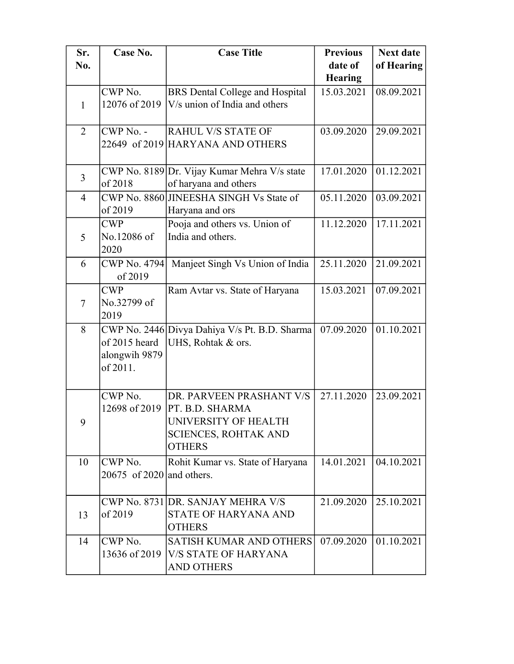| Sr.            | Case No.                                   | <b>Case Title</b>                                                                                                                   | <b>Previous</b> | <b>Next date</b> |
|----------------|--------------------------------------------|-------------------------------------------------------------------------------------------------------------------------------------|-----------------|------------------|
| No.            |                                            |                                                                                                                                     | date of         | of Hearing       |
|                |                                            |                                                                                                                                     | <b>Hearing</b>  |                  |
| $\mathbf{1}$   | CWP No.<br>12076 of 2019                   | BRS Dental College and Hospital<br>V/s union of India and others                                                                    | 15.03.2021      | 08.09.2021       |
| $\overline{2}$ | CWP No. -                                  | <b>RAHUL V/S STATE OF</b><br>22649 of 2019 HARYANA AND OTHERS                                                                       | 03.09.2020      | 29.09.2021       |
| $\overline{3}$ | of 2018                                    | CWP No. 8189 Dr. Vijay Kumar Mehra V/s state<br>of haryana and others                                                               | 17.01.2020      | 01.12.2021       |
| $\overline{4}$ | of 2019                                    | CWP No. 8860 JINEESHA SINGH Vs State of<br>Haryana and ors                                                                          | 05.11.2020      | 03.09.2021       |
| 5              | <b>CWP</b><br>No.12086 of<br>2020          | Pooja and others vs. Union of<br>India and others.                                                                                  | 11.12.2020      | 17.11.2021       |
| 6              | <b>CWP No. 4794</b><br>of 2019             | Manjeet Singh Vs Union of India                                                                                                     | 25.11.2020      | 21.09.2021       |
| $\tau$         | <b>CWP</b><br>No.32799 of<br>2019          | Ram Avtar vs. State of Haryana                                                                                                      | 15.03.2021      | 07.09.2021       |
| 8              | of 2015 heard<br>alongwih 9879<br>of 2011. | CWP No. 2446 Divya Dahiya V/s Pt. B.D. Sharma<br>UHS, Rohtak & ors.                                                                 | 07.09.2020      | 01.10.2021       |
| 9              | CWP No.                                    | DR. PARVEEN PRASHANT V/S<br>12698 of 2019   PT. B.D. SHARMA<br>UNIVERSITY OF HEALTH<br><b>SCIENCES, ROHTAK AND</b><br><b>OTHERS</b> | 27.11.2020      | 23.09.2021       |
| 10             | CWP No.<br>$20675$ of 2020 and others.     | Rohit Kumar vs. State of Haryana                                                                                                    | 14.01.2021      | 04.10.2021       |
| 13             | of 2019                                    | CWP No. 8731 DR. SANJAY MEHRA V/S<br><b>STATE OF HARYANA AND</b><br><b>OTHERS</b>                                                   | 21.09.2020      | 25.10.2021       |
| 14             | CWP No.                                    | <b>SATISH KUMAR AND OTHERS</b><br>13636 of 2019   V/S STATE OF HARYANA<br><b>AND OTHERS</b>                                         | 07.09.2020      | 01.10.2021       |